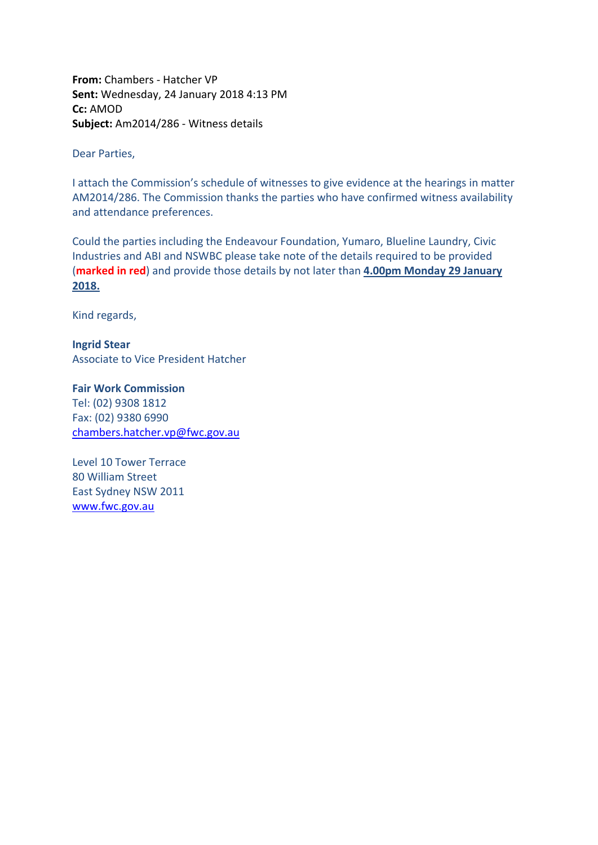**From:** Chambers - Hatcher VP **Sent:** Wednesday, 24 January 2018 4:13 PM **Cc:** AMOD **Subject:** Am2014/286 - Witness details

Dear Parties,

I attach the Commission's schedule of witnesses to give evidence at the hearings in matter AM2014/286. The Commission thanks the parties who have confirmed witness availability and attendance preferences.

Could the parties including the Endeavour Foundation, Yumaro, Blueline Laundry, Civic Industries and ABI and NSWBC please take note of the details required to be provided (**marked in red**) and provide those details by not later than **4.00pm Monday 29 January 2018.** 

Kind regards,

**Ingrid Stear** Associate to Vice President Hatcher

**Fair Work Commission**  Tel: (02) 9308 1812 Fax: (02) 9380 6990 [chambers.hatcher.vp@fwc.gov.au](mailto:chambers.hatcher.vp@fwc.gov.au) 

Level 10 Tower Terrace 80 William Street East Sydney NSW 2011 [www.fwc.gov.au](http://www.fwc.gov.au/)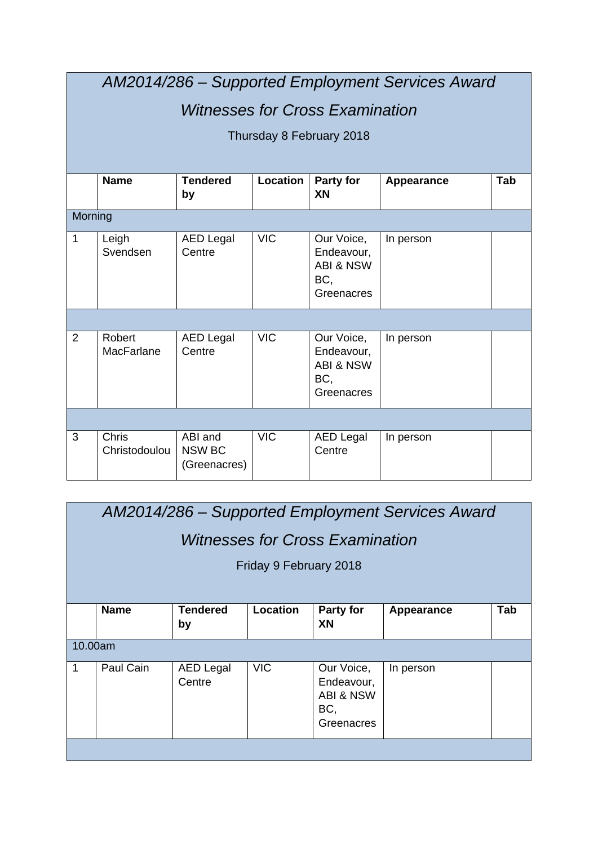|                | AM2014/286 - Supported Employment Services Award |                                          |            |                                                                       |            |     |  |  |  |
|----------------|--------------------------------------------------|------------------------------------------|------------|-----------------------------------------------------------------------|------------|-----|--|--|--|
|                | <b>Witnesses for Cross Examination</b>           |                                          |            |                                                                       |            |     |  |  |  |
|                |                                                  |                                          |            | Thursday 8 February 2018                                              |            |     |  |  |  |
|                |                                                  |                                          |            |                                                                       |            |     |  |  |  |
|                | <b>Name</b>                                      | <b>Tendered</b><br>by                    | Location   | Party for<br>XN                                                       | Appearance | Tab |  |  |  |
| Morning        |                                                  |                                          |            |                                                                       |            |     |  |  |  |
| $\mathbf{1}$   | Leigh<br>Svendsen                                | <b>AED Legal</b><br>Centre               | <b>VIC</b> | Our Voice,<br>Endeavour,<br><b>ABI &amp; NSW</b><br>BC,<br>Greenacres | In person  |     |  |  |  |
|                |                                                  |                                          |            |                                                                       |            |     |  |  |  |
| $\overline{2}$ | Robert<br><b>MacFarlane</b>                      | <b>AED Legal</b><br>Centre               | <b>VIC</b> | Our Voice,<br>Endeavour,<br><b>ABI &amp; NSW</b><br>BC,<br>Greenacres | In person  |     |  |  |  |
|                |                                                  |                                          |            |                                                                       |            |     |  |  |  |
| 3              | Chris<br>Christodoulou                           | ABI and<br><b>NSW BC</b><br>(Greenacres) | <b>VIC</b> | <b>AED Legal</b><br>Centre                                            | In person  |     |  |  |  |

|         | AM2014/286 - Supported Employment Services Award                                                                                            |                       |                        |                        |            |     |  |  |  |
|---------|---------------------------------------------------------------------------------------------------------------------------------------------|-----------------------|------------------------|------------------------|------------|-----|--|--|--|
|         | <i>Witnesses for Cross Examination</i>                                                                                                      |                       |                        |                        |            |     |  |  |  |
|         |                                                                                                                                             |                       | Friday 9 February 2018 |                        |            |     |  |  |  |
|         |                                                                                                                                             |                       |                        |                        |            |     |  |  |  |
|         | <b>Name</b>                                                                                                                                 | <b>Tendered</b><br>by | Location               | <b>Party for</b><br>XN | Appearance | Tab |  |  |  |
| 10.00am |                                                                                                                                             |                       |                        |                        |            |     |  |  |  |
| 1       | Paul Cain<br><b>VIC</b><br>Our Voice,<br><b>AED Legal</b><br>In person<br>Centre<br>Endeavour,<br><b>ABI &amp; NSW</b><br>BC,<br>Greenacres |                       |                        |                        |            |     |  |  |  |
|         |                                                                                                                                             |                       |                        |                        |            |     |  |  |  |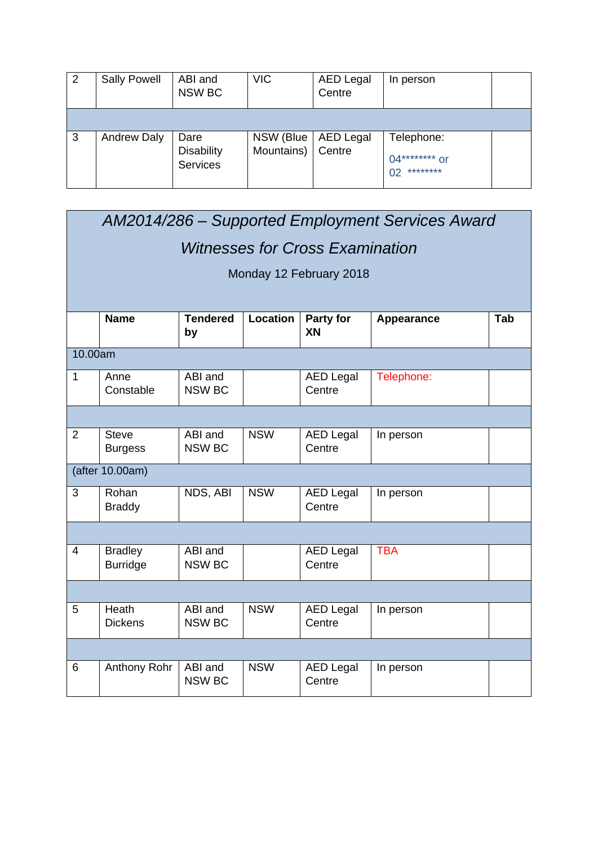| 2 | <b>Sally Powell</b> | ABI and<br>NSW BC                    | <b>VIC</b> | <b>AED Legal</b><br>Centre | In person                                   |  |
|---|---------------------|--------------------------------------|------------|----------------------------|---------------------------------------------|--|
|   |                     |                                      |            |                            |                                             |  |
| 3 | <b>Andrew Daly</b>  | Dare                                 | NSW (Blue  | AED Legal                  | Telephone:                                  |  |
|   |                     | <b>Disability</b><br><b>Services</b> | Mountains) | Centre                     | $04******$ or<br>********<br>0 <sub>2</sub> |  |

|         | AM2014/286 - Supported Employment Services Award |                          |            |                            |            |     |  |  |  |
|---------|--------------------------------------------------|--------------------------|------------|----------------------------|------------|-----|--|--|--|
|         | <b>Witnesses for Cross Examination</b>           |                          |            |                            |            |     |  |  |  |
|         | Monday 12 February 2018                          |                          |            |                            |            |     |  |  |  |
|         |                                                  |                          |            |                            |            |     |  |  |  |
|         | <b>Name</b>                                      | <b>Tendered</b><br>by    | Location   | Party for<br>XN            | Appearance | Tab |  |  |  |
| 10.00am |                                                  |                          |            |                            |            |     |  |  |  |
| 1       | Anne<br>Constable                                | ABI and<br><b>NSW BC</b> |            | <b>AED Legal</b><br>Centre | Telephone: |     |  |  |  |
|         |                                                  |                          |            |                            |            |     |  |  |  |
| 2       | <b>Steve</b><br><b>Burgess</b>                   | ABI and<br><b>NSW BC</b> | <b>NSW</b> | <b>AED Legal</b><br>Centre | In person  |     |  |  |  |
|         | (after 10.00am)                                  |                          |            |                            |            |     |  |  |  |
| 3       | Rohan<br><b>Braddy</b>                           | NDS, ABI                 | <b>NSW</b> | <b>AED Legal</b><br>Centre | In person  |     |  |  |  |
|         |                                                  |                          |            |                            |            |     |  |  |  |
| 4       | <b>Bradley</b><br><b>Burridge</b>                | ABI and<br><b>NSW BC</b> |            | <b>AED Legal</b><br>Centre | <b>TBA</b> |     |  |  |  |
|         |                                                  |                          |            |                            |            |     |  |  |  |
| 5       | Heath<br><b>Dickens</b>                          | ABI and<br><b>NSW BC</b> | <b>NSW</b> | <b>AED Legal</b><br>Centre | In person  |     |  |  |  |
|         |                                                  |                          |            |                            |            |     |  |  |  |
| 6       | Anthony Rohr                                     | ABI and<br><b>NSW BC</b> | <b>NSW</b> | <b>AED Legal</b><br>Centre | In person  |     |  |  |  |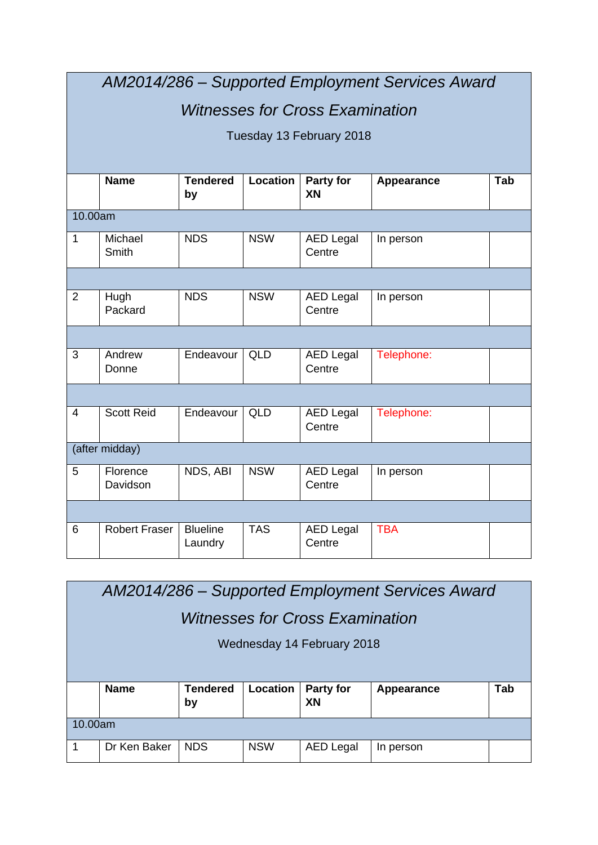|                | AM2014/286 - Supported Employment Services Award |                            |            |                            |            |     |  |  |  |
|----------------|--------------------------------------------------|----------------------------|------------|----------------------------|------------|-----|--|--|--|
|                | <b>Witnesses for Cross Examination</b>           |                            |            |                            |            |     |  |  |  |
|                | Tuesday 13 February 2018                         |                            |            |                            |            |     |  |  |  |
|                |                                                  |                            |            |                            |            |     |  |  |  |
|                | <b>Name</b>                                      | <b>Tendered</b><br>by      | Location   | Party for<br>XN            | Appearance | Tab |  |  |  |
| 10.00am        |                                                  |                            |            |                            |            |     |  |  |  |
| $\mathbf{1}$   | Michael<br><b>Smith</b>                          | <b>NDS</b>                 | <b>NSW</b> | <b>AED Legal</b><br>Centre | In person  |     |  |  |  |
|                |                                                  |                            |            |                            |            |     |  |  |  |
| $\overline{2}$ | Hugh<br>Packard                                  | <b>NDS</b>                 | <b>NSW</b> | <b>AED Legal</b><br>Centre | In person  |     |  |  |  |
|                |                                                  |                            |            |                            |            |     |  |  |  |
| 3              | Andrew<br>Donne                                  | Endeavour                  | <b>QLD</b> | <b>AED Legal</b><br>Centre | Telephone: |     |  |  |  |
|                |                                                  |                            |            |                            |            |     |  |  |  |
| 4              | <b>Scott Reid</b>                                | Endeavour                  | <b>QLD</b> | <b>AED Legal</b><br>Centre | Telephone: |     |  |  |  |
|                | (after midday)                                   |                            |            |                            |            |     |  |  |  |
| 5              | Florence<br>Davidson                             | NDS, ABI                   | <b>NSW</b> | <b>AED Legal</b><br>Centre | In person  |     |  |  |  |
|                |                                                  |                            |            |                            |            |     |  |  |  |
| 6              | <b>Robert Fraser</b>                             | <b>Blueline</b><br>Laundry | <b>TAS</b> | <b>AED Legal</b><br>Centre | <b>TBA</b> |     |  |  |  |

| AM2014/286 – Supported Employment Services Award |                                        |                       |          |                            |            |     |  |  |
|--------------------------------------------------|----------------------------------------|-----------------------|----------|----------------------------|------------|-----|--|--|
|                                                  | <i>Witnesses for Cross Examination</i> |                       |          |                            |            |     |  |  |
|                                                  |                                        |                       |          | Wednesday 14 February 2018 |            |     |  |  |
|                                                  |                                        |                       |          |                            |            |     |  |  |
|                                                  | <b>Name</b>                            | <b>Tendered</b><br>by | Location | <b>Party for</b><br>XN     | Appearance | Tab |  |  |
| 10.00am                                          |                                        |                       |          |                            |            |     |  |  |
|                                                  |                                        |                       |          |                            |            |     |  |  |